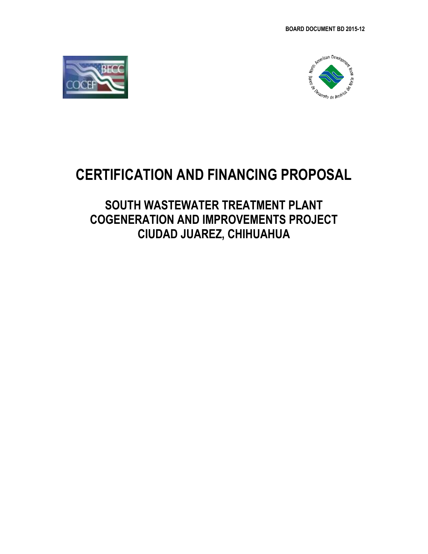



# **CERTIFICATION AND FINANCING PROPOSAL**

# **SOUTH WASTEWATER TREATMENT PLANT COGENERATION AND IMPROVEMENTS PROJECT CIUDAD JUAREZ, CHIHUAHUA**

*Revised: May 4, 201*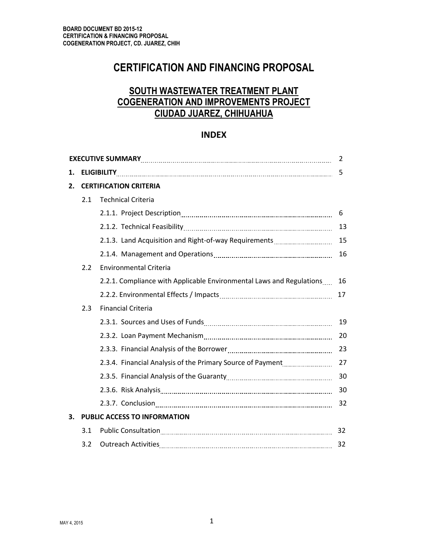# **CERTIFICATION AND FINANCING PROPOSAL**

# **SOUTH WASTEWATER TREATMENT PLANT COGENERATION AND IMPROVEMENTS PROJECT CIUDAD JUAREZ, CHIHUAHUA**

# **INDEX**

|    |                               |                                                                                                               | 2  |  |  |
|----|-------------------------------|---------------------------------------------------------------------------------------------------------------|----|--|--|
| 1. |                               | 5                                                                                                             |    |  |  |
| 2. | <b>CERTIFICATION CRITERIA</b> |                                                                                                               |    |  |  |
|    | 2.1                           | <b>Technical Criteria</b>                                                                                     |    |  |  |
|    |                               |                                                                                                               | 6  |  |  |
|    |                               |                                                                                                               | 13 |  |  |
|    |                               | 2.1.3. Land Acquisition and Right-of-way Requirements                                                         | 15 |  |  |
|    |                               |                                                                                                               | 16 |  |  |
|    | 2.2                           | <b>Environmental Criteria</b>                                                                                 |    |  |  |
|    |                               | 2.2.1. Compliance with Applicable Environmental Laws and Regulations                                          | 16 |  |  |
|    |                               |                                                                                                               | 17 |  |  |
|    | 2.3                           | <b>Financial Criteria</b>                                                                                     |    |  |  |
|    |                               |                                                                                                               | 19 |  |  |
|    |                               |                                                                                                               | 20 |  |  |
|    |                               |                                                                                                               | 23 |  |  |
|    |                               |                                                                                                               | 27 |  |  |
|    |                               |                                                                                                               | 30 |  |  |
|    |                               | 2.3.6. Risk Analysis 2000 2.3.6. Risk Analysis 2.3.6. Risk Analysis 2.3.6. Risk Analysis 2.1.1.1.1.1.1.1.1.1. | 30 |  |  |
|    |                               |                                                                                                               | 32 |  |  |
| 3. |                               | PUBLIC ACCESS TO INFORMATION                                                                                  |    |  |  |
|    | 3.1                           |                                                                                                               | 32 |  |  |
|    | 3.2                           |                                                                                                               | 32 |  |  |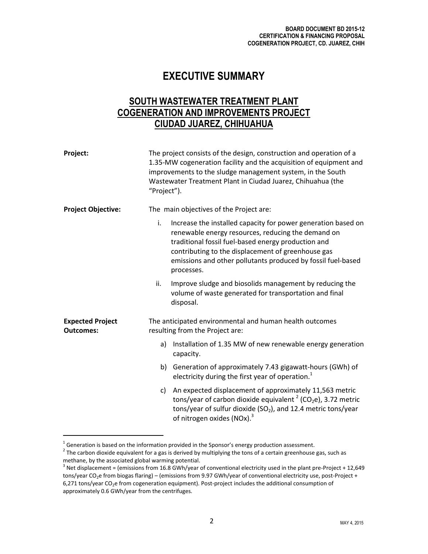# **EXECUTIVE SUMMARY**

# **SOUTH WASTEWATER TREATMENT PLANT COGENERATION AND IMPROVEMENTS PROJECT CIUDAD JUAREZ, CHIHUAHUA**

| Project:                                    | "Project").                             | The project consists of the design, construction and operation of a<br>1.35-MW cogeneration facility and the acquisition of equipment and<br>improvements to the sludge management system, in the South<br>Wastewater Treatment Plant in Ciudad Juarez, Chihuahua (the                                         |  |
|---------------------------------------------|-----------------------------------------|----------------------------------------------------------------------------------------------------------------------------------------------------------------------------------------------------------------------------------------------------------------------------------------------------------------|--|
| <b>Project Objective:</b>                   | The main objectives of the Project are: |                                                                                                                                                                                                                                                                                                                |  |
|                                             | i.                                      | Increase the installed capacity for power generation based on<br>renewable energy resources, reducing the demand on<br>traditional fossil fuel-based energy production and<br>contributing to the displacement of greenhouse gas<br>emissions and other pollutants produced by fossil fuel-based<br>processes. |  |
|                                             | ii.                                     | Improve sludge and biosolids management by reducing the<br>volume of waste generated for transportation and final<br>disposal.                                                                                                                                                                                 |  |
| <b>Expected Project</b><br><b>Outcomes:</b> |                                         | The anticipated environmental and human health outcomes<br>resulting from the Project are:                                                                                                                                                                                                                     |  |
|                                             | a)                                      | Installation of 1.35 MW of new renewable energy generation<br>capacity.                                                                                                                                                                                                                                        |  |
|                                             |                                         | b) Generation of approximately 7.43 gigawatt-hours (GWh) of<br>electricity during the first year of operation. $1$                                                                                                                                                                                             |  |
|                                             |                                         | c) An expected displacement of approximately 11,563 metric<br>tons/year of carbon dioxide equivalent $2$ (CO <sub>2</sub> e), 3.72 metric<br>tons/year of sulfur dioxide ( $SO2$ ), and 12.4 metric tons/year<br>of nitrogen oxides (NOx). <sup>3</sup>                                                        |  |

 $^{1}$  Generation is based on the information provided in the Sponsor's energy production assessment.

 $\overline{a}$ 

 $^2$  The carbon dioxide equivalent for a gas is derived by multiplying the tons of a certain greenhouse gas, such as methane, by the associated global warming potential.

 $3$  Net displacement = (emissions from 16.8 GWh/year of conventional electricity used in the plant pre-Project + 12,649 tons/year CO<sub>2</sub>e from biogas flaring) – (emissions from 9.97 GWh/year of conventional electricity use, post-Project + 6,271 tons/year CO<sub>2</sub>e from cogeneration equipment). Post-project includes the additional consumption of approximately 0.6 GWh/year from the centrifuges.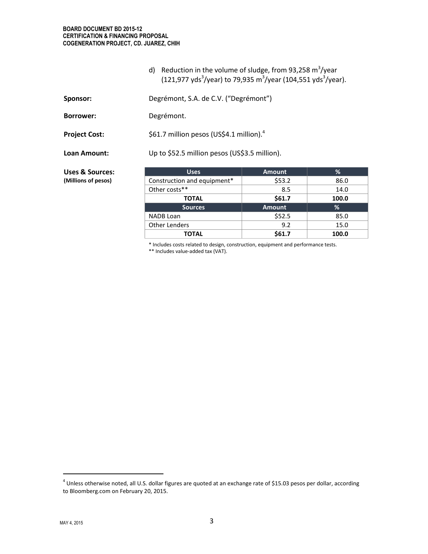#### **BOARD DOCUMENT BD 2015-12 CERTIFICATION & FINANCING PROPOSAL COGENERATION PROJECT, CD. JUAREZ, CHIH**

d) Reduction in the volume of sludge, from 93,258  $\text{m}^3/\text{year}$ (121,977 yds<sup>3</sup>/year) to 79,935 m<sup>3</sup>/year (104,551 yds<sup>3</sup>/year).

| Sponsor:             | Degrémont, S.A. de C.V. ("Degrémont")                |
|----------------------|------------------------------------------------------|
| <b>Borrower:</b>     | Degrémont.                                           |
| <b>Project Cost:</b> | \$61.7 million pesos (US\$4.1 million). <sup>4</sup> |
| Loan Amount:         | Up to \$52.5 million pesos (US\$3.5 million).        |

**Uses & Sources: (Millions of pesos)**

| <b>Uses</b>                 | <b>Amount</b> | %     |
|-----------------------------|---------------|-------|
| Construction and equipment* | \$53.2        | 86.0  |
| Other costs**               | 8.5           | 14.0  |
| <b>TOTAL</b>                | \$61.7        | 100.0 |
| <b>Sources</b>              | <b>Amount</b> | %     |
| <b>NADB</b> Loan            | \$52.5        | 85.0  |
| <b>Other Lenders</b>        | 9.2           | 15.0  |
| TOTAL                       | \$61.7        | 100.0 |

\* Includes costs related to design, construction, equipment and performance tests.

\*\* Includes value-added tax (VAT).

<sup>&</sup>lt;sup>4</sup> Unless otherwise noted, all U.S. dollar figures are quoted at an exchange rate of \$15.03 pesos per dollar, according to Bloomberg.com on February 20, 2015.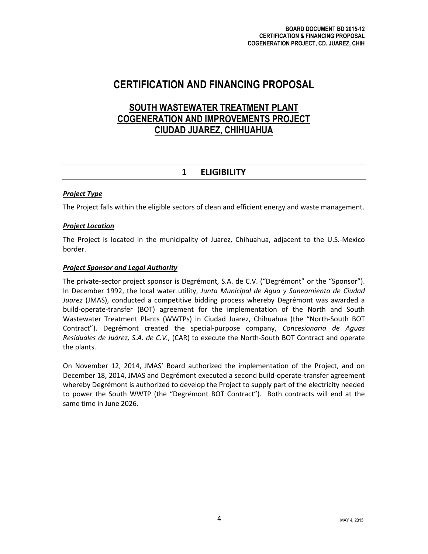# **CERTIFICATION AND FINANCING PROPOSAL**

# **SOUTH WASTEWATER TREATMENT PLANT COGENERATION AND IMPROVEMENTS PROJECT CIUDAD JUAREZ, CHIHUAHUA**

# **1 ELIGIBILITY**

# *Project Type*

The Project falls within the eligible sectors of clean and efficient energy and waste management.

# *Project Location*

The Project is located in the municipality of Juarez, Chihuahua, adjacent to the U.S.-Mexico border.

# *Project Sponsor and Legal Authority*

The private-sector project sponsor is Degrémont, S.A. de C.V. ("Degrémont" or the "Sponsor"). In December 1992, the local water utility, *Junta Municipal de Agua y Saneamiento de Ciudad Juarez* (JMAS), conducted a competitive bidding process whereby Degrémont was awarded a build-operate-transfer (BOT) agreement for the implementation of the North and South Wastewater Treatment Plants (WWTPs) in Ciudad Juarez, Chihuahua (the "North-South BOT Contract"). Degrémont created the special-purpose company, *Concesionaria de Aguas Residuales de Juárez, S.A. de C.V.,* (CAR) to execute the North-South BOT Contract and operate the plants.

On November 12, 2014, JMAS' Board authorized the implementation of the Project, and on December 18, 2014, JMAS and Degrémont executed a second build-operate-transfer agreement whereby Degrémont is authorized to develop the Project to supply part of the electricity needed to power the South WWTP (the "Degrémont BOT Contract"). Both contracts will end at the same time in June 2026.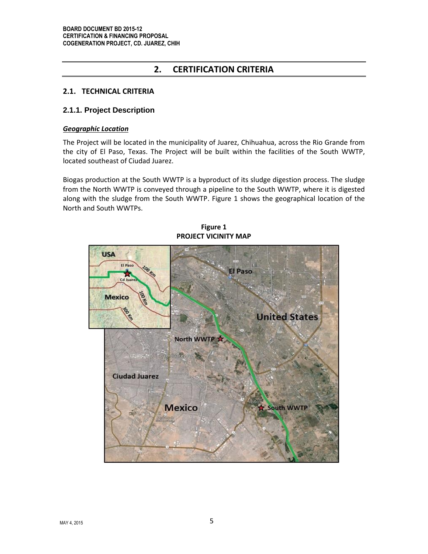# **2. CERTIFICATION CRITERIA**

# **2.1. TECHNICAL CRITERIA**

## **2.1.1. Project Description**

#### *Geographic Location*

The Project will be located in the municipality of Juarez, Chihuahua, across the Rio Grande from the city of El Paso, Texas. The Project will be built within the facilities of the South WWTP, located southeast of Ciudad Juarez.

Biogas production at the South WWTP is a byproduct of its sludge digestion process. The sludge from the North WWTP is conveyed through a pipeline to the South WWTP, where it is digested along with the sludge from the South WWTP. Figure 1 shows the geographical location of the North and South WWTPs.



**Figure 1 PROJECT VICINITY MAP**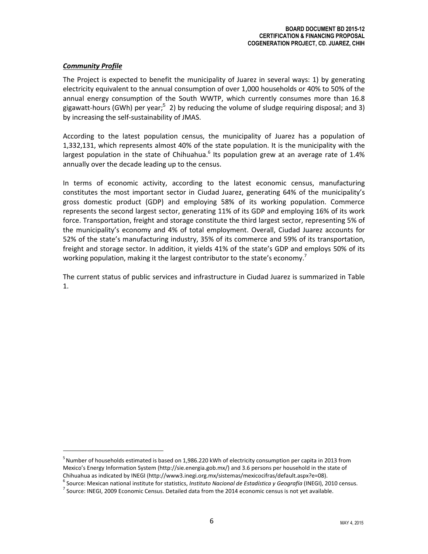## *Community Profile*

The Project is expected to benefit the municipality of Juarez in several ways: 1) by generating electricity equivalent to the annual consumption of over 1,000 households or 40% to 50% of the annual energy consumption of the South WWTP, which currently consumes more than 16.8 gigawatt-hours (GWh) per year;<sup>5</sup> 2) by reducing the volume of sludge requiring disposal; and 3) by increasing the self-sustainability of JMAS.

According to the latest population census, the municipality of Juarez has a population of 1,332,131, which represents almost 40% of the state population. It is the municipality with the largest population in the state of Chihuahua.<sup>6</sup> Its population grew at an average rate of 1.4% annually over the decade leading up to the census.

In terms of economic activity, according to the latest economic census, manufacturing constitutes the most important sector in Ciudad Juarez, generating 64% of the municipality's gross domestic product (GDP) and employing 58% of its working population. Commerce represents the second largest sector, generating 11% of its GDP and employing 16% of its work force. Transportation, freight and storage constitute the third largest sector, representing 5% of the municipality's economy and 4% of total employment. Overall, Ciudad Juarez accounts for 52% of the state's manufacturing industry, 35% of its commerce and 59% of its transportation, freight and storage sector. In addition, it yields 41% of the state's GDP and employs 50% of its working population, making it the largest contributor to the state's economy.<sup>7</sup>

The current status of public services and infrastructure in Ciudad Juarez is summarized in Table 1.

<sup>&</sup>lt;sup>5</sup> Number of households estimated is based on 1,986.220 kWh of electricity consumption per capita in 2013 from Mexico's Energy Information System (http://sie.energia.gob.mx/) and 3.6 persons per household in the state of Chihuahua as indicated by INEGI (http://www3.inegi.org.mx/sistemas/mexicocifras/default.aspx?e=08).

<sup>6</sup> Source: Mexican national institute for statistics, *Instituto Nacional de Estadística y Geografía* (INEGI), 2010 census.

 $^7$  Source: INEGI, 2009 Economic Census. Detailed data from the 2014 economic census is not yet available.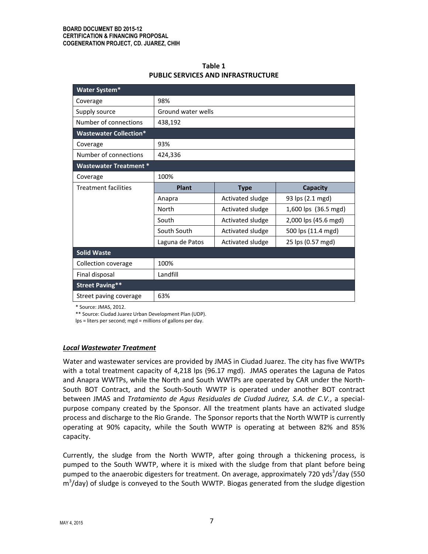| Table 1                                   |
|-------------------------------------------|
| <b>PUBLIC SERVICES AND INFRASTRUCTURE</b> |

| Water System*                 |                           |                  |                      |  |
|-------------------------------|---------------------------|------------------|----------------------|--|
| Coverage                      | 98%                       |                  |                      |  |
| Supply source                 | <b>Ground water wells</b> |                  |                      |  |
| Number of connections         | 438,192                   |                  |                      |  |
| <b>Wastewater Collection*</b> |                           |                  |                      |  |
| Coverage                      | 93%                       |                  |                      |  |
| Number of connections         | 424,336                   |                  |                      |  |
| <b>Wastewater Treatment *</b> |                           |                  |                      |  |
| Coverage                      | 100%                      |                  |                      |  |
| <b>Treatment facilities</b>   | <b>Plant</b>              | <b>Type</b>      | Capacity             |  |
|                               | Anapra                    | Activated sludge | 93 lps (2.1 mgd)     |  |
|                               | North                     | Activated sludge | 1,600 lps (36.5 mgd) |  |
|                               | South                     | Activated sludge | 2,000 lps (45.6 mgd) |  |
|                               | South South               | Activated sludge | 500 lps (11.4 mgd)   |  |
|                               | Laguna de Patos           | Activated sludge | 25 lps (0.57 mgd)    |  |
| <b>Solid Waste</b>            |                           |                  |                      |  |
| Collection coverage           | 100%                      |                  |                      |  |
| Final disposal                | Landfill                  |                  |                      |  |
| <b>Street Paving**</b>        |                           |                  |                      |  |
| Street paving coverage        | 63%                       |                  |                      |  |

\* Source: JMAS, 2012.

\*\* Source: Ciudad Juarez Urban Development Plan (UDP).

lps = liters per second; mgd = millions of gallons per day.

#### *Local Wastewater Treatment*

Water and wastewater services are provided by JMAS in Ciudad Juarez. The city has five WWTPs with a total treatment capacity of 4,218 lps (96.17 mgd). JMAS operates the Laguna de Patos and Anapra WWTPs, while the North and South WWTPs are operated by CAR under the North-South BOT Contract, and the South-South WWTP is operated under another BOT contract between JMAS and *Tratamiento de Agus Residuales de Ciudad Juárez, S.A. de C.V.*, a specialpurpose company created by the Sponsor. All the treatment plants have an activated sludge process and discharge to the Rio Grande. The Sponsor reports that the North WWTP is currently operating at 90% capacity, while the South WWTP is operating at between 82% and 85% capacity.

Currently, the sludge from the North WWTP, after going through a thickening process, is pumped to the South WWTP, where it is mixed with the sludge from that plant before being pumped to the anaerobic digesters for treatment. On average, approximately 720 yds<sup>3</sup>/day (550 m<sup>3</sup>/day) of sludge is conveyed to the South WWTP. Biogas generated from the sludge digestion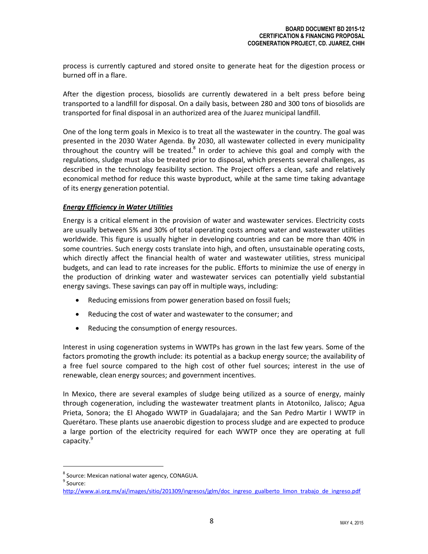process is currently captured and stored onsite to generate heat for the digestion process or burned off in a flare.

After the digestion process, biosolids are currently dewatered in a belt press before being transported to a landfill for disposal. On a daily basis, between 280 and 300 tons of biosolids are transported for final disposal in an authorized area of the Juarez municipal landfill.

One of the long term goals in Mexico is to treat all the wastewater in the country. The goal was presented in the 2030 Water Agenda. By 2030, all wastewater collected in every municipality throughout the country will be treated.<sup>8</sup> In order to achieve this goal and comply with the regulations, sludge must also be treated prior to disposal, which presents several challenges, as described in the technology feasibility section. The Project offers a clean, safe and relatively economical method for reduce this waste byproduct, while at the same time taking advantage of its energy generation potential.

## *Energy Efficiency in Water Utilities*

Energy is a critical element in the provision of water and wastewater services. Electricity costs are usually between 5% and 30% of total operating costs among water and wastewater utilities worldwide. This figure is usually higher in developing countries and can be more than 40% in some countries. Such energy costs translate into high, and often, unsustainable operating costs, which directly affect the financial health of water and wastewater utilities, stress municipal budgets, and can lead to rate increases for the public. Efforts to minimize the use of energy in the production of drinking water and wastewater services can potentially yield substantial energy savings. These savings can pay off in multiple ways, including:

- Reducing emissions from power generation based on fossil fuels;
- Reducing the cost of water and wastewater to the consumer; and
- Reducing the consumption of energy resources.

Interest in using cogeneration systems in WWTPs has grown in the last few years. Some of the factors promoting the growth include: its potential as a backup energy source; the availability of a free fuel source compared to the high cost of other fuel sources; interest in the use of renewable, clean energy sources; and government incentives.

In Mexico, there are several examples of sludge being utilized as a source of energy, mainly through cogeneration, including the wastewater treatment plants in Atotonilco, Jalisco; Agua Prieta, Sonora; the El Ahogado WWTP in Guadalajara; and the San Pedro Martir I WWTP in Querétaro. These plants use anaerobic digestion to process sludge and are expected to produce a large portion of the electricity required for each WWTP once they are operating at full capacity.<sup>9</sup>

<sup>&</sup>lt;sup>8</sup> Source: Mexican national water agency, CONAGUA. <sup>9</sup> Source:

[http://www.ai.org.mx/ai/images/sitio/201309/ingresos/jglm/doc\\_ingreso\\_gualberto\\_limon\\_trabajo\\_de\\_ingreso.pdf](http://www.ai.org.mx/ai/images/sitio/201309/ingresos/jglm/doc_ingreso_gualberto_limon_trabajo_de_ingreso.pdf)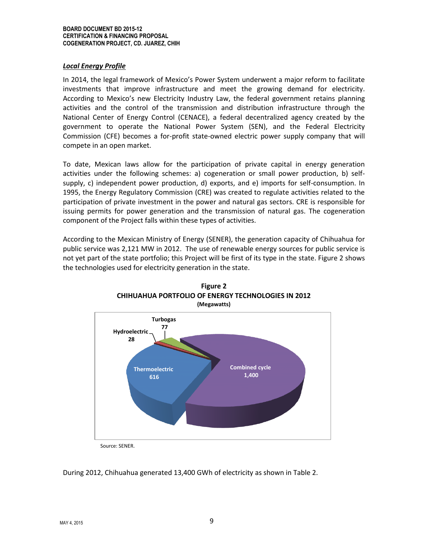#### *Local Energy Profile*

In 2014, the legal framework of Mexico's Power System underwent a major reform to facilitate investments that improve infrastructure and meet the growing demand for electricity. According to Mexico's new Electricity Industry Law, the federal government retains planning activities and the control of the transmission and distribution infrastructure through the National Center of Energy Control (CENACE), a federal decentralized agency created by the government to operate the National Power System (SEN), and the Federal Electricity Commission (CFE) becomes a for-profit state-owned electric power supply company that will compete in an open market.

To date, Mexican laws allow for the participation of private capital in energy generation activities under the following schemes: a) cogeneration or small power production, b) selfsupply, c) independent power production, d) exports, and e) imports for self-consumption. In 1995, the Energy Regulatory Commission (CRE) was created to regulate activities related to the participation of private investment in the power and natural gas sectors. CRE is responsible for issuing permits for power generation and the transmission of natural gas. The cogeneration component of the Project falls within these types of activities.

According to the Mexican Ministry of Energy (SENER), the generation capacity of Chihuahua for public service was 2,121 MW in 2012. The use of renewable energy sources for public service is not yet part of the state portfolio; this Project will be first of its type in the state. Figure 2 shows the technologies used for electricity generation in the state.





Source: SENER.

During 2012, Chihuahua generated 13,400 GWh of electricity as shown in Table 2.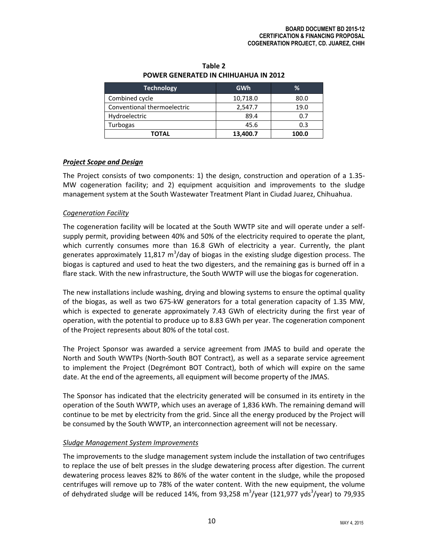| <b>Technology</b>           | GWh      | ℅     |
|-----------------------------|----------|-------|
| Combined cycle              | 10,718.0 | 80.0  |
| Conventional thermoelectric | 2,547.7  | 19.0  |
| Hydroelectric               | 89.4     | 0.7   |
| Turbogas                    | 45.6     | 0.3   |
| <b>TOTAL</b>                | 13,400.7 | 100.0 |

## **Table 2 POWER GENERATED IN CHIHUAHUA IN 2012**

# *Project Scope and Design*

The Project consists of two components: 1) the design, construction and operation of a 1.35- MW cogeneration facility; and 2) equipment acquisition and improvements to the sludge management system at the South Wastewater Treatment Plant in Ciudad Juarez, Chihuahua.

# *Cogeneration Facility*

The cogeneration facility will be located at the South WWTP site and will operate under a selfsupply permit, providing between 40% and 50% of the electricity required to operate the plant, which currently consumes more than 16.8 GWh of electricity a year. Currently, the plant generates approximately 11,817 m<sup>3</sup>/day of biogas in the existing sludge digestion process. The biogas is captured and used to heat the two digesters, and the remaining gas is burned off in a flare stack. With the new infrastructure, the South WWTP will use the biogas for cogeneration.

The new installations include washing, drying and blowing systems to ensure the optimal quality of the biogas, as well as two 675-kW generators for a total generation capacity of 1.35 MW, which is expected to generate approximately 7.43 GWh of electricity during the first year of operation, with the potential to produce up to 8.83 GWh per year. The cogeneration component of the Project represents about 80% of the total cost.

The Project Sponsor was awarded a service agreement from JMAS to build and operate the North and South WWTPs (North-South BOT Contract), as well as a separate service agreement to implement the Project (Degrémont BOT Contract), both of which will expire on the same date. At the end of the agreements, all equipment will become property of the JMAS.

The Sponsor has indicated that the electricity generated will be consumed in its entirety in the operation of the South WWTP, which uses an average of 1,836 kWh. The remaining demand will continue to be met by electricity from the grid. Since all the energy produced by the Project will be consumed by the South WWTP, an interconnection agreement will not be necessary.

## *Sludge Management System Improvements*

The improvements to the sludge management system include the installation of two centrifuges to replace the use of belt presses in the sludge dewatering process after digestion. The current dewatering process leaves 82% to 86% of the water content in the sludge, while the proposed centrifuges will remove up to 78% of the water content. With the new equipment, the volume of dehydrated sludge will be reduced 14%, from 93,258  $\text{m}^3\text{/year}$  (121,977 yds $^3\text{/year}$ ) to 79,935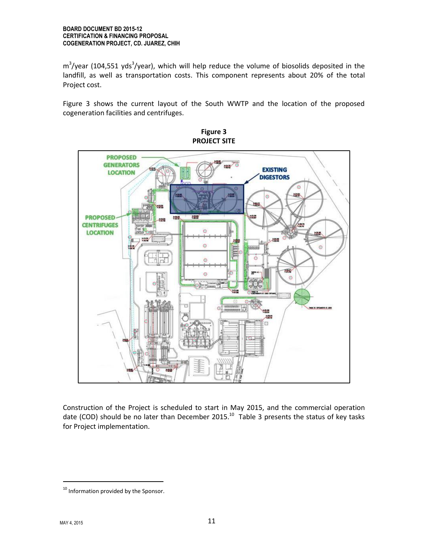$\text{m}^3\text{/year}$  (104,551 yds $^3\text{/year}$ ), which will help reduce the volume of biosolids deposited in the landfill, as well as transportation costs. This component represents about 20% of the total Project cost.

Figure 3 shows the current layout of the South WWTP and the location of the proposed cogeneration facilities and centrifuges.



**Figure 3 PROJECT SITE**

Construction of the Project is scheduled to start in May 2015, and the commercial operation date (COD) should be no later than December 2015.<sup>10</sup> Table 3 presents the status of key tasks for Project implementation.

 $\overline{a}$ 

<sup>&</sup>lt;sup>10</sup> Information provided by the Sponsor.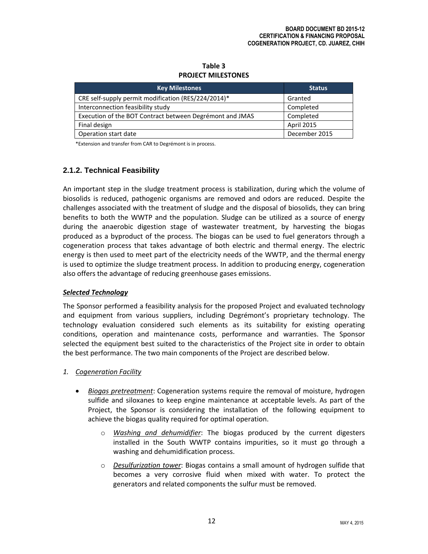| <b>PROJECT MILESTONES</b>                                |               |
|----------------------------------------------------------|---------------|
| <b>Key Milestones</b>                                    | <b>Status</b> |
| CRE self-supply permit modification (RES/224/2014)*      | Granted       |
| Interconnection feasibility study                        | Completed     |
| Execution of the BOT Contract between Degrémont and JMAS | Completed     |
| Final design                                             | April 2015    |
| Operation start date                                     | December 2015 |

## **Table 3 PROJECT MILESTONES**

\*Extension and transfer from CAR to Degrémont is in process.

# **2.1.2. Technical Feasibility**

An important step in the sludge treatment process is stabilization, during which the volume of biosolids is reduced, pathogenic organisms are removed and odors are reduced. Despite the challenges associated with the treatment of sludge and the disposal of biosolids, they can bring benefits to both the WWTP and the population. Sludge can be utilized as a source of energy during the anaerobic digestion stage of wastewater treatment, by harvesting the biogas produced as a byproduct of the process. The biogas can be used to fuel generators through a cogeneration process that takes advantage of both electric and thermal energy. The electric energy is then used to meet part of the electricity needs of the WWTP, and the thermal energy is used to optimize the sludge treatment process. In addition to producing energy, cogeneration also offers the advantage of reducing greenhouse gases emissions.

## *Selected Technology*

The Sponsor performed a feasibility analysis for the proposed Project and evaluated technology and equipment from various suppliers, including Degrémont's proprietary technology. The technology evaluation considered such elements as its suitability for existing operating conditions, operation and maintenance costs, performance and warranties. The Sponsor selected the equipment best suited to the characteristics of the Project site in order to obtain the best performance. The two main components of the Project are described below.

- *1. Cogeneration Facility*
	- *Biogas pretreatment*: Cogeneration systems require the removal of moisture, hydrogen sulfide and siloxanes to keep engine maintenance at acceptable levels. As part of the Project, the Sponsor is considering the installation of the following equipment to achieve the biogas quality required for optimal operation.
		- o *Washing and dehumidifier*: The biogas produced by the current digesters installed in the South WWTP contains impurities, so it must go through a washing and dehumidification process.
		- o *Desulfurization tower*: Biogas contains a small amount of hydrogen sulfide that becomes a very corrosive fluid when mixed with water. To protect the generators and related components the sulfur must be removed.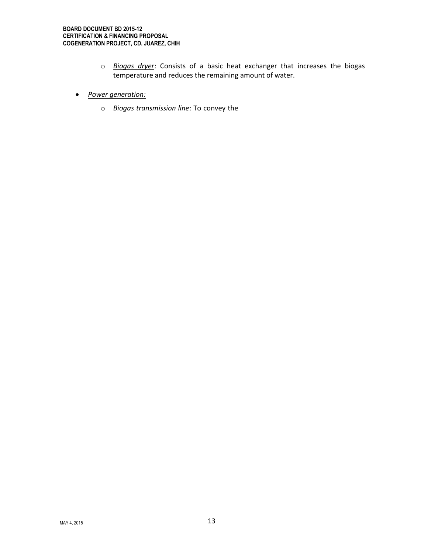- o *Biogas dryer*: Consists of a basic heat exchanger that increases the biogas temperature and reduces the remaining amount of water.
- *Power generation:*
	- o *Biogas transmission line*: To convey the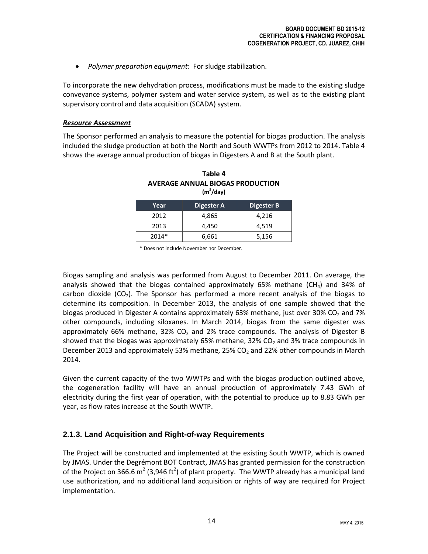*Polymer preparation equipment*: For sludge stabilization.

To incorporate the new dehydration process, modifications must be made to the existing sludge conveyance systems, polymer system and water service system, as well as to the existing plant supervisory control and data acquisition (SCADA) system.

#### *Resource Assessment*

The Sponsor performed an analysis to measure the potential for biogas production. The analysis included the sludge production at both the North and South WWTPs from 2012 to 2014. Table 4 shows the average annual production of biogas in Digesters A and B at the South plant.

| Year  | Digester A | Digester B |
|-------|------------|------------|
| 2012  | 4.865      | 4,216      |
| 2013  | 4.450      | 4,519      |
| 2014* | 6,661      | 5,156      |

| Table 4                          |
|----------------------------------|
| AVERAGE ANNUAL BIOGAS PRODUCTION |
| $(m^3/day)$                      |

\* Does not include November nor December.

Biogas sampling and analysis was performed from August to December 2011. On average, the analysis showed that the biogas contained approximately 65% methane  $(CH_4)$  and 34% of carbon dioxide ( $CO<sub>2</sub>$ ). The Sponsor has performed a more recent analysis of the biogas to determine its composition. In December 2013, the analysis of one sample showed that the biogas produced in Digester A contains approximately 63% methane, just over 30% CO<sub>2</sub> and 7% other compounds, including siloxanes. In March 2014, biogas from the same digester was approximately 66% methane, 32% CO<sub>2</sub> and 2% trace compounds. The analysis of Digester B showed that the biogas was approximately 65% methane, 32% CO<sub>2</sub> and 3% trace compounds in December 2013 and approximately 53% methane, 25%  $CO<sub>2</sub>$  and 22% other compounds in March 2014.

Given the current capacity of the two WWTPs and with the biogas production outlined above, the cogeneration facility will have an annual production of approximately 7.43 GWh of electricity during the first year of operation, with the potential to produce up to 8.83 GWh per year, as flow rates increase at the South WWTP.

# **2.1.3. Land Acquisition and Right-of-way Requirements**

The Project will be constructed and implemented at the existing South WWTP, which is owned by JMAS. Under the Degrémont BOT Contract, JMAS has granted permission for the construction of the Project on 366.6 m<sup>2</sup> (3,946 ft<sup>2</sup>) of plant property. The WWTP already has a municipal land use authorization, and no additional land acquisition or rights of way are required for Project implementation.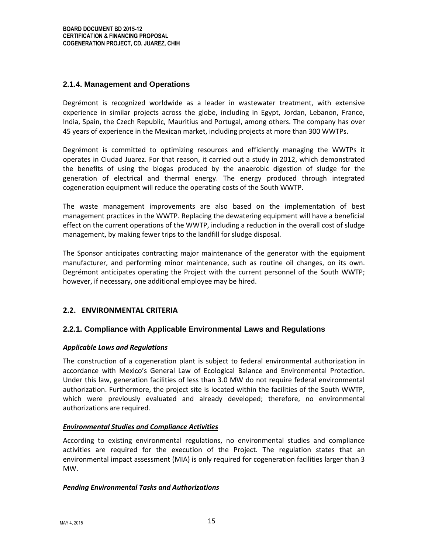# **2.1.4. Management and Operations**

Degrémont is recognized worldwide as a leader in wastewater treatment, with extensive experience in similar projects across the globe, including in Egypt, Jordan, Lebanon, France, India, Spain, the Czech Republic, Mauritius and Portugal, among others. The company has over 45 years of experience in the Mexican market, including projects at more than 300 WWTPs.

Degrémont is committed to optimizing resources and efficiently managing the WWTPs it operates in Ciudad Juarez. For that reason, it carried out a study in 2012, which demonstrated the benefits of using the biogas produced by the anaerobic digestion of sludge for the generation of electrical and thermal energy. The energy produced through integrated cogeneration equipment will reduce the operating costs of the South WWTP.

The waste management improvements are also based on the implementation of best management practices in the WWTP. Replacing the dewatering equipment will have a beneficial effect on the current operations of the WWTP, including a reduction in the overall cost of sludge management, by making fewer trips to the landfill for sludge disposal.

The Sponsor anticipates contracting major maintenance of the generator with the equipment manufacturer, and performing minor maintenance, such as routine oil changes, on its own. Degrémont anticipates operating the Project with the current personnel of the South WWTP; however, if necessary, one additional employee may be hired.

# **2.2. ENVIRONMENTAL CRITERIA**

# **2.2.1. Compliance with Applicable Environmental Laws and Regulations**

## *Applicable Laws and Regulations*

The construction of a cogeneration plant is subject to federal environmental authorization in accordance with Mexico's General Law of Ecological Balance and Environmental Protection. Under this law, generation facilities of less than 3.0 MW do not require federal environmental authorization. Furthermore, the project site is located within the facilities of the South WWTP, which were previously evaluated and already developed; therefore, no environmental authorizations are required.

## *Environmental Studies and Compliance Activities*

According to existing environmental regulations, no environmental studies and compliance activities are required for the execution of the Project. The regulation states that an environmental impact assessment (MIA) is only required for cogeneration facilities larger than 3 MW.

## *Pending Environmental Tasks and Authorizations*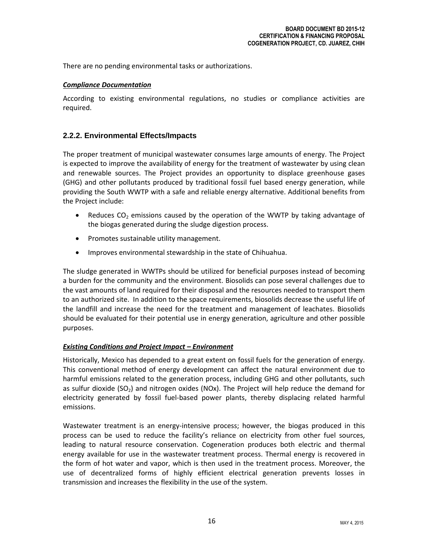There are no pending environmental tasks or authorizations.

#### *Compliance Documentation*

According to existing environmental regulations, no studies or compliance activities are required.

# **2.2.2. Environmental Effects/Impacts**

The proper treatment of municipal wastewater consumes large amounts of energy. The Project is expected to improve the availability of energy for the treatment of wastewater by using clean and renewable sources. The Project provides an opportunity to displace greenhouse gases (GHG) and other pollutants produced by traditional fossil fuel based energy generation, while providing the South WWTP with a safe and reliable energy alternative. Additional benefits from the Project include:

- Reduces  $CO<sub>2</sub>$  emissions caused by the operation of the WWTP by taking advantage of the biogas generated during the sludge digestion process.
- Promotes sustainable utility management.
- Improves environmental stewardship in the state of Chihuahua.

The sludge generated in WWTPs should be utilized for beneficial purposes instead of becoming a burden for the community and the environment. Biosolids can pose several challenges due to the vast amounts of land required for their disposal and the resources needed to transport them to an authorized site. In addition to the space requirements, biosolids decrease the useful life of the landfill and increase the need for the treatment and management of leachates. Biosolids should be evaluated for their potential use in energy generation, agriculture and other possible purposes.

## *Existing Conditions and Project Impact – Environment*

Historically, Mexico has depended to a great extent on fossil fuels for the generation of energy. This conventional method of energy development can affect the natural environment due to harmful emissions related to the generation process, including GHG and other pollutants, such as sulfur dioxide  $(SO_2)$  and nitrogen oxides (NOx). The Project will help reduce the demand for electricity generated by fossil fuel‐based power plants, thereby displacing related harmful emissions.

Wastewater treatment is an energy-intensive process; however, the biogas produced in this process can be used to reduce the facility's reliance on electricity from other fuel sources, leading to natural resource conservation. Cogeneration produces both electric and thermal energy available for use in the wastewater treatment process. Thermal energy is recovered in the form of hot water and vapor, which is then used in the treatment process. Moreover, the use of decentralized forms of highly efficient electrical generation prevents losses in transmission and increases the flexibility in the use of the system.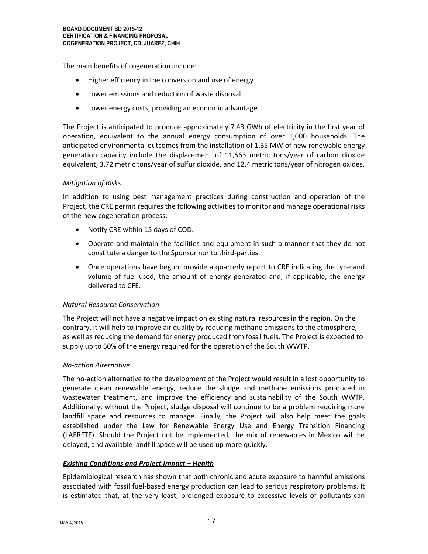The main benefits of cogeneration include:

- Higher efficiency in the conversion and use of energy
- Lower emissions and reduction of waste disposal
- Lower energy costs, providing an economic advantage

The Project is anticipated to produce approximately 7.43 GWh of electricity in the first year of operation, equivalent to the annual energy consumption of over 1,000 households. The anticipated environmental outcomes from the installation of 1.35 MW of new renewable energy generation capacity include the displacement of 11,563 metric tons/year of carbon dioxide equivalent, 3.72 metric tons/year of sulfur dioxide, and 12.4 metric tons/year of nitrogen oxides.

## *Mitigation of Risks*

In addition to using best management practices during construction and operation of the Project, the CRE permit requires the following activities to monitor and manage operational risks of the new cogeneration process:

- Notify CRE within 15 days of COD.
- Operate and maintain the facilities and equipment in such a manner that they do not constitute a danger to the Sponsor nor to third-parties.
- Once operations have begun, provide a quarterly report to CRE indicating the type and volume of fuel used, the amount of energy generated and, if applicable, the energy delivered to CFE.

## *Natural Resource Conservation*

The Project will not have a negative impact on existing natural resources in the region. On the contrary, it will help to improve air quality by reducing methane emissions to the atmosphere, as well as reducing the demand for energy produced from fossil fuels. The Project is expected to supply up to 50% of the energy required for the operation of the South WWTP.

## *No-action Alternative*

The no-action alternative to the development of the Project would result in a lost opportunity to generate clean renewable energy, reduce the sludge and methane emissions produced in wastewater treatment, and improve the efficiency and sustainability of the South WWTP. Additionally, without the Project, sludge disposal will continue to be a problem requiring more landfill space and resources to manage. Finally, the Project will also help meet the goals established under the Law for Renewable Energy Use and Energy Transition Financing (LAERFTE). Should the Project not be implemented, the mix of renewables in Mexico will be delayed, and available landfill space will be used up more quickly.

## *Existing Conditions and Project Impact – Health*

Epidemiological research has shown that both chronic and acute exposure to harmful emissions associated with fossil fuel‐based energy production can lead to serious respiratory problems. It is estimated that, at the very least, prolonged exposure to excessive levels of pollutants can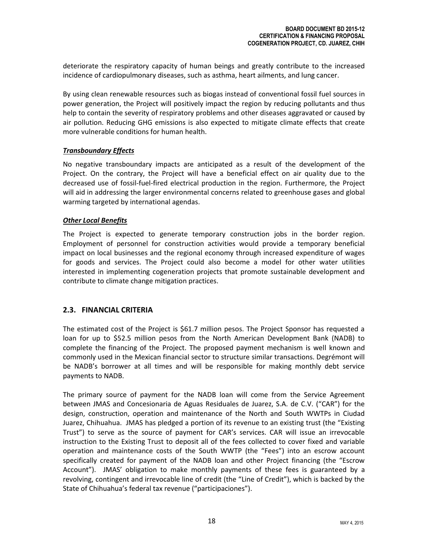deteriorate the respiratory capacity of human beings and greatly contribute to the increased incidence of cardiopulmonary diseases, such as asthma, heart ailments, and lung cancer.

By using clean renewable resources such as biogas instead of conventional fossil fuel sources in power generation, the Project will positively impact the region by reducing pollutants and thus help to contain the severity of respiratory problems and other diseases aggravated or caused by air pollution. Reducing GHG emissions is also expected to mitigate climate effects that create more vulnerable conditions for human health.

## *Transboundary Effects*

No negative transboundary impacts are anticipated as a result of the development of the Project. On the contrary, the Project will have a beneficial effect on air quality due to the decreased use of fossil‐fuel‐fired electrical production in the region. Furthermore, the Project will aid in addressing the larger environmental concerns related to greenhouse gases and global warming targeted by international agendas.

# *Other Local Benefits*

The Project is expected to generate temporary construction jobs in the border region. Employment of personnel for construction activities would provide a temporary beneficial impact on local businesses and the regional economy through increased expenditure of wages for goods and services. The Project could also become a model for other water utilities interested in implementing cogeneration projects that promote sustainable development and contribute to climate change mitigation practices.

# **2.3. FINANCIAL CRITERIA**

The estimated cost of the Project is \$61.7 million pesos. The Project Sponsor has requested a loan for up to \$52.5 million pesos from the North American Development Bank (NADB) to complete the financing of the Project. The proposed payment mechanism is well known and commonly used in the Mexican financial sector to structure similar transactions. Degrémont will be NADB's borrower at all times and will be responsible for making monthly debt service payments to NADB.

The primary source of payment for the NADB loan will come from the Service Agreement between JMAS and Concesionaria de Aguas Residuales de Juarez, S.A. de C.V. ("CAR") for the design, construction, operation and maintenance of the North and South WWTPs in Ciudad Juarez, Chihuahua. JMAS has pledged a portion of its revenue to an existing trust (the "Existing Trust") to serve as the source of payment for CAR's services. CAR will issue an irrevocable instruction to the Existing Trust to deposit all of the fees collected to cover fixed and variable operation and maintenance costs of the South WWTP (the "Fees") into an escrow account specifically created for payment of the NADB loan and other Project financing (the "Escrow Account"). JMAS' obligation to make monthly payments of these fees is guaranteed by a revolving, contingent and irrevocable line of credit (the "Line of Credit"), which is backed by the State of Chihuahua's federal tax revenue ("participaciones").